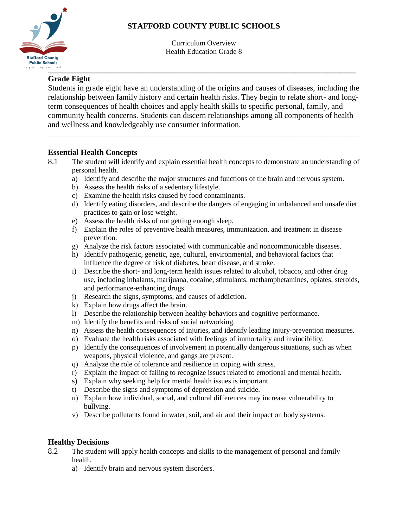# **STAFFORD COUNTY PUBLIC SCHOOLS**



Curriculum Overview Health Education Grade 8

## **Grade Eight**

Students in grade eight have an understanding of the origins and causes of diseases, including the relationship between family history and certain health risks. They begin to relate short- and longterm consequences of health choices and apply health skills to specific personal, family, and community health concerns. Students can discern relationships among all components of health and wellness and knowledgeably use consumer information.

\_\_\_\_\_\_\_\_\_\_\_\_\_\_\_\_\_\_\_\_\_\_\_\_\_\_\_\_\_\_\_\_\_\_\_\_\_\_\_\_\_\_\_\_\_\_\_\_\_\_\_\_\_\_\_\_\_\_\_\_\_\_\_\_\_\_\_\_\_\_\_\_\_\_\_\_\_\_

#### **Essential Health Concepts**

- 8.1 The student will identify and explain essential health concepts to demonstrate an understanding of personal health.
	- a) Identify and describe the major structures and functions of the brain and nervous system.
	- b) Assess the health risks of a sedentary lifestyle.
	- c) Examine the health risks caused by food contaminants.
	- d) Identify eating disorders, and describe the dangers of engaging in unbalanced and unsafe diet practices to gain or lose weight.
	- e) Assess the health risks of not getting enough sleep.
	- f) Explain the roles of preventive health measures, immunization, and treatment in disease prevention.
	- g) Analyze the risk factors associated with communicable and noncommunicable diseases.
	- h) Identify pathogenic, genetic, age, cultural, environmental, and behavioral factors that influence the degree of risk of diabetes, heart disease, and stroke.
	- i) Describe the short- and long-term health issues related to alcohol, tobacco, and other drug use, including inhalants, marijuana, cocaine, stimulants, methamphetamines, opiates, steroids, and performance-enhancing drugs.
	- j) Research the signs, symptoms, and causes of addiction.
	- k) Explain how drugs affect the brain.
	- l) Describe the relationship between healthy behaviors and cognitive performance.
	- m) Identify the benefits and risks of social networking.
	- n) Assess the health consequences of injuries, and identify leading injury-prevention measures.
	- o) Evaluate the health risks associated with feelings of immortality and invincibility.
	- p) Identify the consequences of involvement in potentially dangerous situations, such as when weapons, physical violence, and gangs are present.
	- q) Analyze the role of tolerance and resilience in coping with stress.
	- r) Explain the impact of failing to recognize issues related to emotional and mental health.
	- s) Explain why seeking help for mental health issues is important.
	- t) Describe the signs and symptoms of depression and suicide.
	- u) Explain how individual, social, and cultural differences may increase vulnerability to bullying.
	- v) Describe pollutants found in water, soil, and air and their impact on body systems.

### **Healthy Decisions**

- 8.2 The student will apply health concepts and skills to the management of personal and family health.
	- a) Identify brain and nervous system disorders.